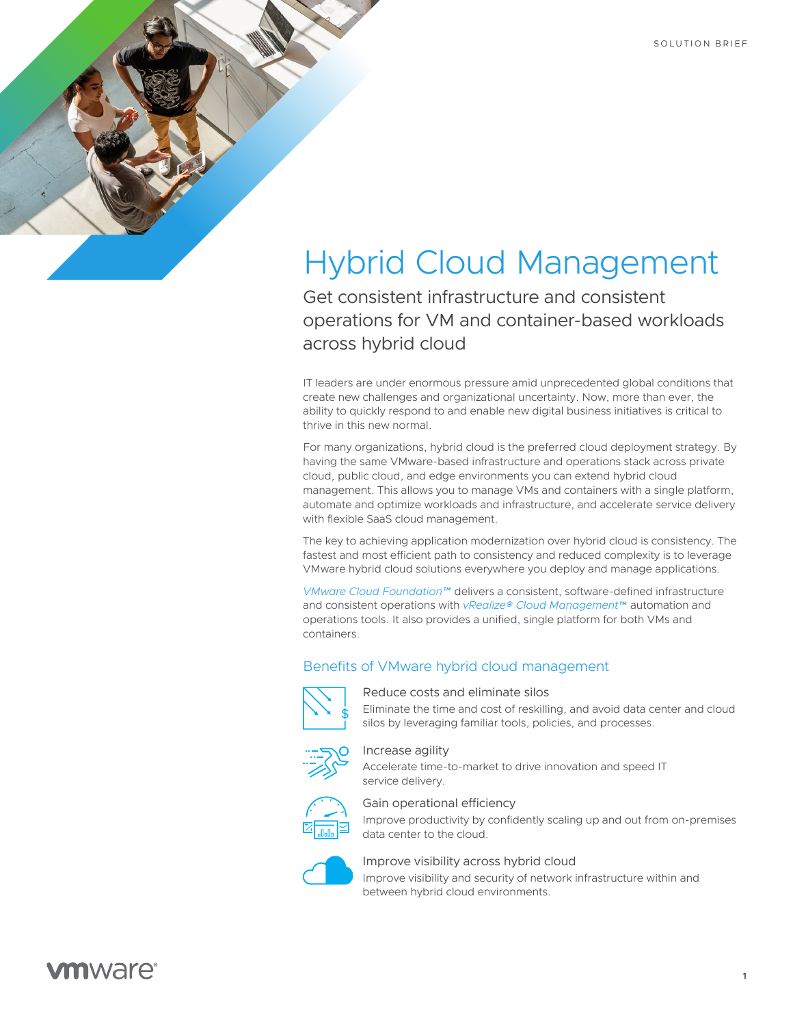# Hybrid Cloud Management

Get consistent infrastructure and consistent operations for VM and container-based workloads across hybrid cloud

IT leaders are under enormous pressure amid unprecedented global conditions that create new challenges and organizational uncertainty. Now, more than ever, the ability to quickly respond to and enable new digital business initiatives is critical to thrive in this new normal.

For many organizations, hybrid cloud is the preferred cloud deployment strategy. By having the same VMware-based infrastructure and operations stack across private cloud, public cloud, and edge environments you can extend hybrid cloud management. This allows you to manage VMs and containers with a single platform, automate and optimize workloads and infrastructure, and accelerate service delivery with flexible SaaS cloud management.

The key to achieving application modernization over hybrid cloud is consistency. The fastest and most efficient path to consistency and reduced complexity is to leverage VMware hybrid cloud solutions everywhere you deploy and manage applications.

*[VMware Cloud Foundation™](https://www.vmware.com/products/cloud-foundation.html)* delivers a consistent, software-defined infrastructure and consistent operations with *[vRealize® Cloud Management™](https://www.vmware.com/products/vrealize-cloud-management.html)* automation and operations tools. It also provides a unified, single platform for both VMs and containers.

### Benefits of VMware hybrid cloud management



Reduce costs and eliminate silos

Eliminate the time and cost of reskilling, and avoid data center and cloud silos by leveraging familiar tools, policies, and processes.



Increase agility

Accelerate time-to-market to drive innovation and speed IT service delivery.



#### Gain operational efficiency

Improve productivity by confidently scaling up and out from on-premises data center to the cloud.



#### Improve visibility across hybrid cloud

Improve visibility and security of network infrastructure within and between hybrid cloud environments.

# **vm**ware<sup>®</sup>